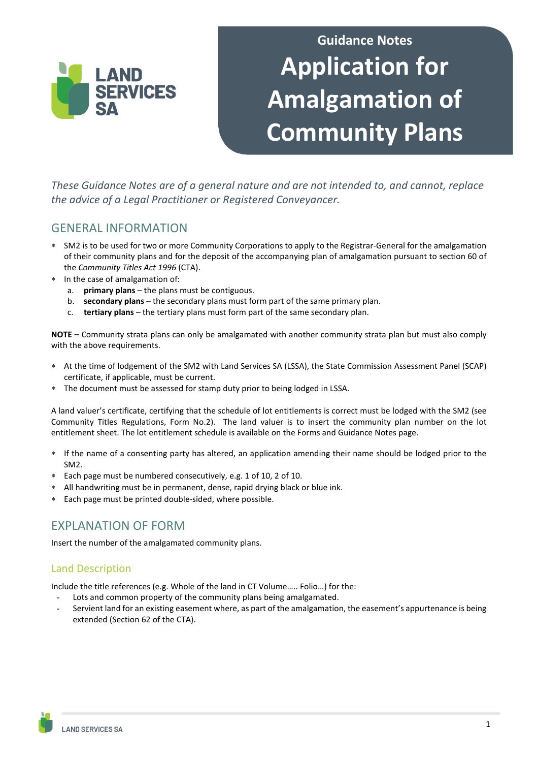

# **Guidance Notes Application for Amalgamation of Community Plans**

*These Guidance Notes are of a general nature and are not intended to, and cannot, replace the advice of a Legal Practitioner or Registered Conveyancer.* 

# GENERAL INFORMATION

- ∗ SM2 is to be used for two or more Community Corporations to apply to the Registrar-General for the amalgamation of their community plans and for the deposit of the accompanying plan of amalgamation pursuant to section 60 of the *Community Titles Act 1996* (CTA).
- In the case of amalgamation of:
	- a. **primary plans** the plans must be contiguous.
	- b. **secondary plans** the secondary plans must form part of the same primary plan.
	- c. **tertiary plans** the tertiary plans must form part of the same secondary plan.

**NOTE –** Community strata plans can only be amalgamated with another community strata plan but must also comply with the above requirements.

- ∗ At the time of lodgement of the SM2 with Land Services SA (LSSA), the State Commission Assessment Panel (SCAP) certificate, if applicable, must be current.
- The document must be assessed for stamp duty prior to being lodged in LSSA.

A land valuer's certificate, certifying that the schedule of lot entitlements is correct must be lodged with the SM2 (see Community Titles Regulations, Form No.2). The land valuer is to insert the community plan number on the lot entitlement sheet. The lot entitlement schedule is available on the Forms and Guidance Notes page.

- ∗ If the name of a consenting party has altered, an application amending their name should be lodged prior to the SM2.
- ∗ Each page must be numbered consecutively, e.g. 1 of 10, 2 of 10.
- ∗ All handwriting must be in permanent, dense, rapid drying black or blue ink.
- ∗ Each page must be printed double-sided, where possible.

# EXPLANATION OF FORM

Insert the number of the amalgamated community plans.

## Land Description

Include the title references (e.g. Whole of the land in CT Volume….. Folio…) for the:

- Lots and common property of the community plans being amalgamated.
- Servient land for an existing easement where, as part of the amalgamation, the easement's appurtenance is being extended (Section 62 of the CTA).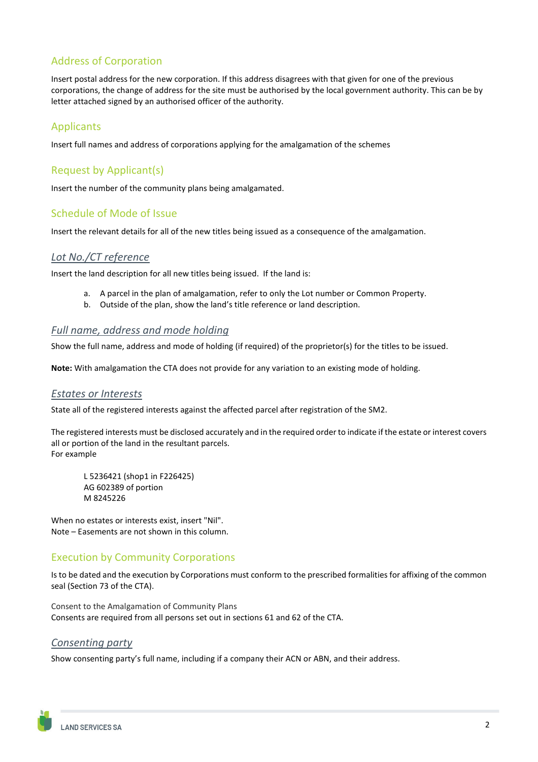# Address of Corporation

Insert postal address for the new corporation. If this address disagrees with that given for one of the previous corporations, the change of address for the site must be authorised by the local government authority. This can be by letter attached signed by an authorised officer of the authority.

## Applicants

Insert full names and address of corporations applying for the amalgamation of the schemes

## Request by Applicant(s)

Insert the number of the community plans being amalgamated.

## Schedule of Mode of Issue

Insert the relevant details for all of the new titles being issued as a consequence of the amalgamation.

#### *Lot No./CT reference*

Insert the land description for all new titles being issued. If the land is:

- a. A parcel in the plan of amalgamation, refer to only the Lot number or Common Property.
- b. Outside of the plan, show the land's title reference or land description.

#### *Full name, address and mode holding*

Show the full name, address and mode of holding (if required) of the proprietor(s) for the titles to be issued.

**Note:** With amalgamation the CTA does not provide for any variation to an existing mode of holding.

#### *Estates or Interests*

State all of the registered interests against the affected parcel after registration of the SM2.

The registered interests must be disclosed accurately and in the required order to indicate if the estate or interest covers all or portion of the land in the resultant parcels. For example

L 5236421 (shop1 in F226425) AG 602389 of portion M 8245226

When no estates or interests exist, insert "Nil". Note – Easements are not shown in this column.

## Execution by Community Corporations

Is to be dated and the execution by Corporations must conform to the prescribed formalities for affixing of the common seal (Section 73 of the CTA).

Consent to the Amalgamation of Community Plans Consents are required from all persons set out in sections 61 and 62 of the CTA.

#### *Consenting party*

Show consenting party's full name, including if a company their ACN or ABN, and their address.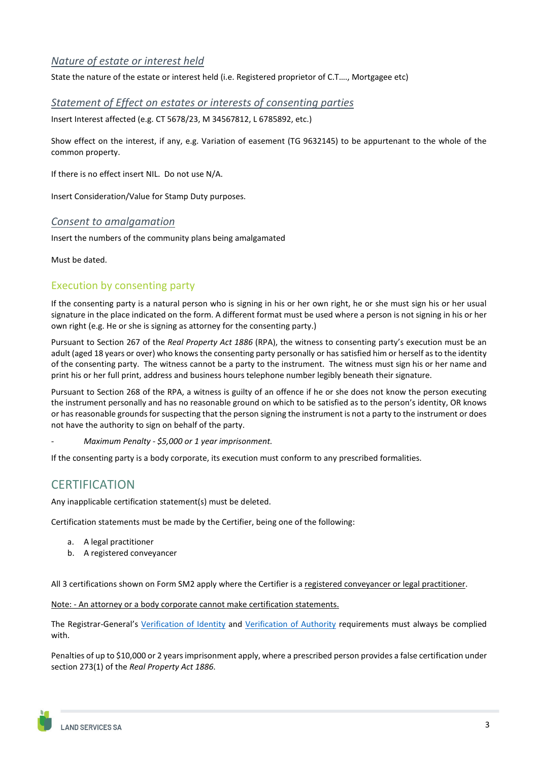## *Nature of estate or interest held*

State the nature of the estate or interest held (i.e. Registered proprietor of C.T…., Mortgagee etc)

#### *Statement of Effect on estates or interests of consenting parties*

Insert Interest affected (e.g. CT 5678/23, M 34567812, L 6785892, etc.)

Show effect on the interest, if any, e.g. Variation of easement (TG 9632145) to be appurtenant to the whole of the common property.

If there is no effect insert NIL. Do not use N/A.

Insert Consideration/Value for Stamp Duty purposes.

#### *Consent to amalgamation*

Insert the numbers of the community plans being amalgamated

Must be dated.

#### Execution by consenting party

If the consenting party is a natural person who is signing in his or her own right, he or she must sign his or her usual signature in the place indicated on the form. A different format must be used where a person is not signing in his or her own right (e.g. He or she is signing as attorney for the consenting party.)

Pursuant to Section 267 of the *Real Property Act 1886* (RPA), the witness to consenting party's execution must be an adult (aged 18 years or over) who knows the consenting party personally or has satisfied him or herself as to the identity of the consenting party. The witness cannot be a party to the instrument. The witness must sign his or her name and print his or her full print, address and business hours telephone number legibly beneath their signature.

Pursuant to Section 268 of the RPA, a witness is guilty of an offence if he or she does not know the person executing the instrument personally and has no reasonable ground on which to be satisfied as to the person's identity, OR knows or has reasonable grounds for suspecting that the person signing the instrument is not a party to the instrument or does not have the authority to sign on behalf of the party.

*- Maximum Penalty - \$5,000 or 1 year imprisonment.*

If the consenting party is a body corporate, its execution must conform to any prescribed formalities.

# **CERTIFICATION**

Any inapplicable certification statement(s) must be deleted.

Certification statements must be made by the Certifier, being one of the following:

- a. A legal practitioner
- b. A registered conveyancer

All 3 certifications shown on Form SM2 apply where the Certifier is a registered conveyancer or legal practitioner.

Note: - An attorney or a body corporate cannot make certification statements.

The Registrar-General's [Verification of Identity](https://www.landservices.com.au/property-professionals/registrar-general/statutory-instruments/verification-of-identity) and [Verification of Authority](https://www.landservices.com.au/property-professionals/registrar-general/statutory-instruments/verification-of-authorityrity) requirements must always be complied with.

Penalties of up to \$10,000 or 2 years imprisonment apply, where a prescribed person provides a false certification under section 273(1) of the *Real Property Act 1886*.